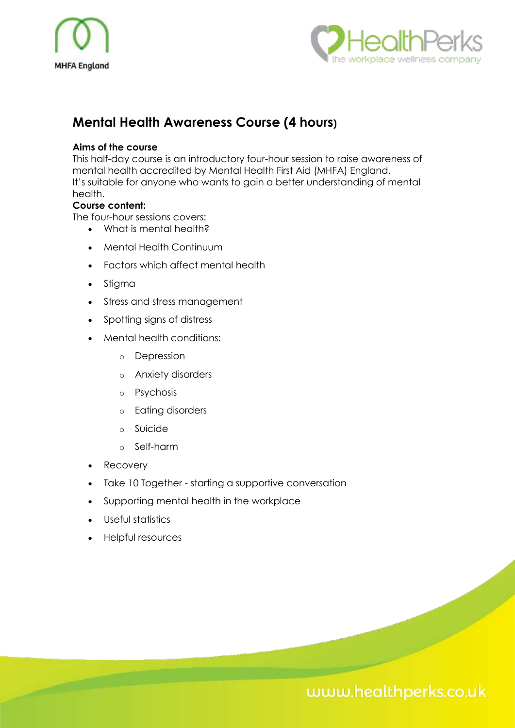



# **Mental Health Awareness Course (4 hours)**

### **Aims of the course**

This half-day course is an introductory four-hour session to raise awareness of mental health accredited by Mental Health First Aid (MHFA) England. It's suitable for anyone who wants to gain a better understanding of mental health.

### **Course content:**

The four-hour sessions covers:

- What is mental health?
- Mental Health Continuum
- Factors which affect mental health
- Stigma
- Stress and stress management
- Spotting signs of distress
- Mental health conditions:
	- o Depression
	- o Anxiety disorders
	- o Psychosis
	- o Eating disorders
	- o Suicide
	- o Self-harm
- **Recovery**
- Take 10 Together starting a supportive conversation
- Supporting mental health in the workplace
- Useful statistics
- Helpful resources

# www.healthperks.co.uk